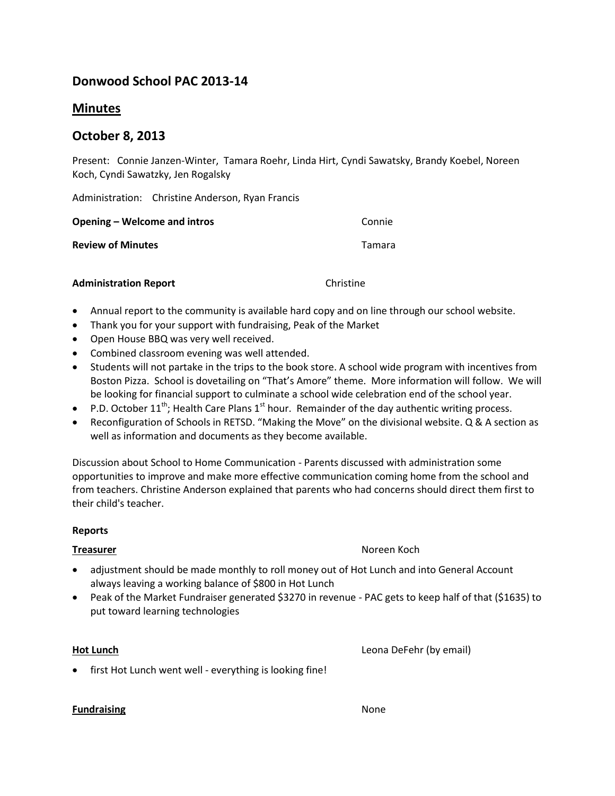# **Donwood School PAC 2013-14**

## **Minutes**

## **October 8, 2013**

Present: Connie Janzen-Winter, Tamara Roehr, Linda Hirt, Cyndi Sawatsky, Brandy Koebel, Noreen Koch, Cyndi Sawatzky, Jen Rogalsky

Administration: Christine Anderson, Ryan Francis

| Opening – Welcome and intros | Connie |
|------------------------------|--------|
| <b>Review of Minutes</b>     | Tamara |

### **Administration Report** Christine

- Annual report to the community is available hard copy and on line through our school website.
- Thank you for your support with fundraising, Peak of the Market
- Open House BBQ was very well received.
- Combined classroom evening was well attended.
- Students will not partake in the trips to the book store. A school wide program with incentives from Boston Pizza. School is dovetailing on "That's Amore" theme. More information will follow. We will be looking for financial support to culminate a school wide celebration end of the school year.
- P.D. October 11<sup>th</sup>; Health Care Plans 1<sup>st</sup> hour. Remainder of the day authentic writing process.
- Reconfiguration of Schools in RETSD. "Making the Move" on the divisional website. Q & A section as well as information and documents as they become available.

Discussion about School to Home Communication - Parents discussed with administration some opportunities to improve and make more effective communication coming home from the school and from teachers. Christine Anderson explained that parents who had concerns should direct them first to their child's teacher.

### **Reports**

### **Treasurer** Noreen Koch

- adjustment should be made monthly to roll money out of Hot Lunch and into General Account always leaving a working balance of \$800 in Hot Lunch
- Peak of the Market Fundraiser generated \$3270 in revenue PAC gets to keep half of that (\$1635) to put toward learning technologies

**Hot Lunch** Leona DeFehr (by email)

first Hot Lunch went well - everything is looking fine!

### **Fundraising** None